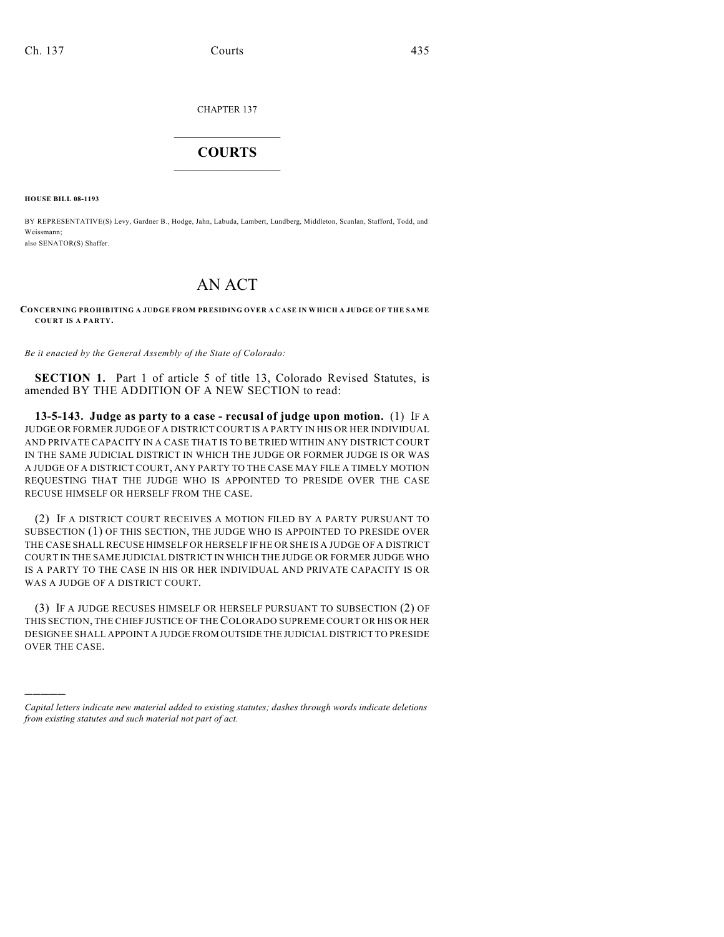CHAPTER 137

## $\overline{\phantom{a}}$  . The set of the set of the set of the set of the set of the set of the set of the set of the set of the set of the set of the set of the set of the set of the set of the set of the set of the set of the set o **COURTS**  $\_$

**HOUSE BILL 08-1193**

)))))

BY REPRESENTATIVE(S) Levy, Gardner B., Hodge, Jahn, Labuda, Lambert, Lundberg, Middleton, Scanlan, Stafford, Todd, and Weissmann; also SENATOR(S) Shaffer.

## AN ACT

## **CONCERNING PROHIBITING A JUDGE FROM PRESIDING OVER A CASE IN WHICH A JUDGE OF THE SAM E COURT IS A PARTY.**

*Be it enacted by the General Assembly of the State of Colorado:*

**SECTION 1.** Part 1 of article 5 of title 13, Colorado Revised Statutes, is amended BY THE ADDITION OF A NEW SECTION to read:

**13-5-143. Judge as party to a case - recusal of judge upon motion.** (1) IF A JUDGE OR FORMER JUDGE OF A DISTRICT COURT IS A PARTY IN HIS OR HER INDIVIDUAL AND PRIVATE CAPACITY IN A CASE THAT IS TO BE TRIED WITHIN ANY DISTRICT COURT IN THE SAME JUDICIAL DISTRICT IN WHICH THE JUDGE OR FORMER JUDGE IS OR WAS A JUDGE OF A DISTRICT COURT, ANY PARTY TO THE CASE MAY FILE A TIMELY MOTION REQUESTING THAT THE JUDGE WHO IS APPOINTED TO PRESIDE OVER THE CASE RECUSE HIMSELF OR HERSELF FROM THE CASE.

(2) IF A DISTRICT COURT RECEIVES A MOTION FILED BY A PARTY PURSUANT TO SUBSECTION (1) OF THIS SECTION, THE JUDGE WHO IS APPOINTED TO PRESIDE OVER THE CASE SHALL RECUSE HIMSELF OR HERSELF IF HE OR SHE IS A JUDGE OF A DISTRICT COURT IN THE SAME JUDICIAL DISTRICT IN WHICH THE JUDGE OR FORMER JUDGE WHO IS A PARTY TO THE CASE IN HIS OR HER INDIVIDUAL AND PRIVATE CAPACITY IS OR WAS A JUDGE OF A DISTRICT COURT.

(3) IF A JUDGE RECUSES HIMSELF OR HERSELF PURSUANT TO SUBSECTION (2) OF THIS SECTION, THE CHIEF JUSTICE OF THE COLORADO SUPREME COURT OR HIS OR HER DESIGNEE SHALL APPOINT A JUDGE FROM OUTSIDE THE JUDICIAL DISTRICT TO PRESIDE OVER THE CASE.

*Capital letters indicate new material added to existing statutes; dashes through words indicate deletions from existing statutes and such material not part of act.*